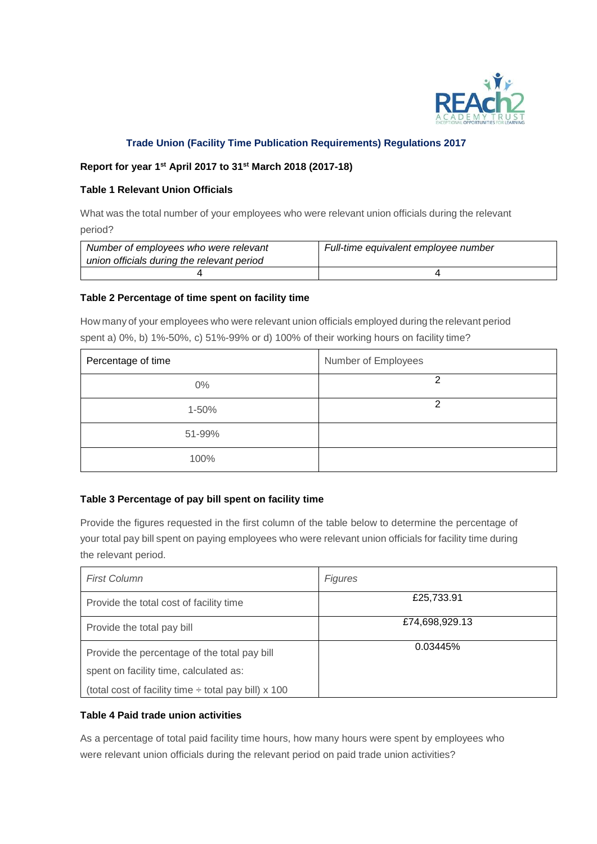

# **Trade Union (Facility Time Publication Requirements) Regulations 2017**

### **Report for year 1st April 2017 to 31st March 2018 (2017-18)**

#### **Table 1 Relevant Union Officials**

What was the total number of your employees who were relevant union officials during the relevant period?

| Number of employees who were relevant      | Full-time equivalent employee number |
|--------------------------------------------|--------------------------------------|
| union officials during the relevant period |                                      |
|                                            |                                      |

#### **Table 2 Percentage of time spent on facility time**

How many of your employees who were relevant union officials employed during the relevant period spent a) 0%, b) 1%-50%, c) 51%-99% or d) 100% of their working hours on facility time?

| Percentage of time | Number of Employees |
|--------------------|---------------------|
| $0\%$              | າ                   |
| 1-50%              | າ                   |
| 51-99%             |                     |
| 100%               |                     |

## **Table 3 Percentage of pay bill spent on facility time**

Provide the figures requested in the first column of the table below to determine the percentage of your total pay bill spent on paying employees who were relevant union officials for facility time during the relevant period.

| <b>First Column</b>                                       | <b>Figures</b> |
|-----------------------------------------------------------|----------------|
| Provide the total cost of facility time                   | £25,733.91     |
| Provide the total pay bill                                | £74,698,929.13 |
| Provide the percentage of the total pay bill              | 0.03445%       |
| spent on facility time, calculated as:                    |                |
| (total cost of facility time $\div$ total pay bill) x 100 |                |

## **Table 4 Paid trade union activities**

As a percentage of total paid facility time hours, how many hours were spent by employees who were relevant union officials during the relevant period on paid trade union activities?